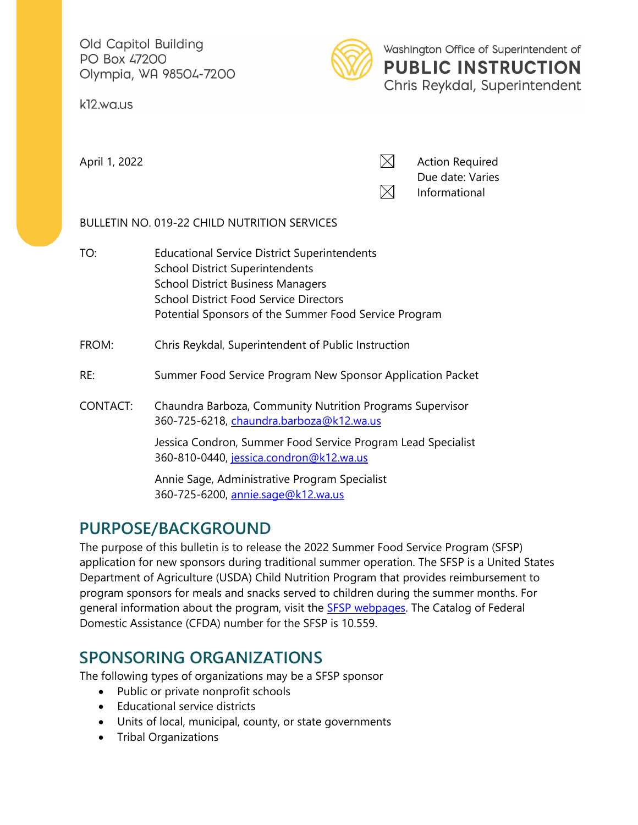Old Capitol Building PO Box 47200 Olympia, WA 98504-7200

k12.wa.us



Washington Office of Superintendent of **PUBLIC INSTRUCTION** Chris Reykdal, Superintendent

April 1, 2022  $\boxtimes$ Due date: Varies  $\boxtimes$ Informational

### BULLETIN NO. 019-22 CHILD NUTRITION SERVICES

TO: Educational Service District Superintendents School District Superintendents School District Business Managers School District Food Service Directors Potential Sponsors of the Summer Food Service Program

#### FROM: Chris Reykdal, Superintendent of Public Instruction

- RE: Summer Food Service Program New Sponsor Application Packet
- CONTACT: Chaundra Barboza, Community Nutrition Programs Supervisor 360-725-6218, chaundra.barboza@k12.wa.us

Jessica Condron, Summer Food Service Program Lead Specialist 360-810-0440, [jessica.condron@k12.wa.us](mailto:jessica.condron@k12.wa.us) 

Annie Sage, Administrative Program Specialist 360-725-6200, [annie.sage@k12.wa.us](mailto:annie.sage@k12.wa.us)

### **PURPOSE/BACKGROUND**

The purpose of this bulletin is to release the 2022 Summer Food Service Program (SFSP) application for new sponsors during traditional summer operation. The SFSP is a United States Department of Agriculture (USDA) Child Nutrition Program that provides reimbursement to program sponsors for meals and snacks served to children during the summer months. For general information about the program, visit the **SFSP** webpages. The Catalog of Federal Domestic Assistance (CFDA) number for the SFSP is 10.559.

### **SPONSORING ORGANIZATIONS**

The following types of organizations may be a SFSP sponsor

- Public or private nonprofit schools
- Educational service districts
- Units of local, municipal, county, or state governments
- Tribal Organizations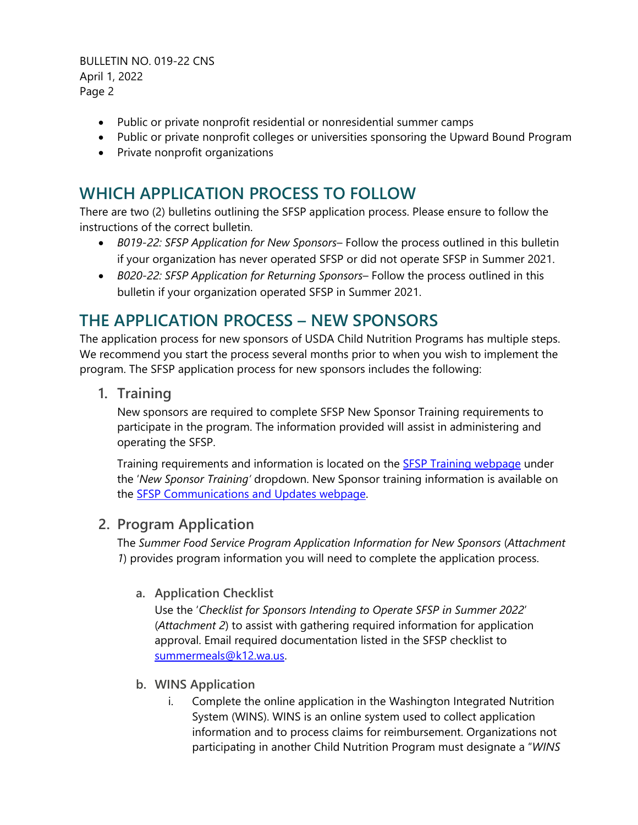BULLETIN NO. 019-22 CNS April 1, 2022 Page 2

- Public or private nonprofit residential or nonresidential summer camps
- Public or private nonprofit colleges or universities sponsoring the Upward Bound Program
- Private nonprofit organizations

# **WHICH APPLICATION PROCESS TO FOLLOW**

There are two (2) bulletins outlining the SFSP application process. Please ensure to follow the instructions of the correct bulletin.

- *B019-22: SFSP Application for New Sponsors* Follow the process outlined in this bulletin if your organization has never operated SFSP or did not operate SFSP in Summer 2021.
- *B020-22: SFSP Application for Returning Sponsors* Follow the process outlined in this bulletin if your organization operated SFSP in Summer 2021.

# **THE APPLICATION PROCESS – NEW SPONSORS**

The application process for new sponsors of USDA Child Nutrition Programs has multiple steps. We recommend you start the process several months prior to when you wish to implement the program. The SFSP application process for new sponsors includes the following:

**1. Training** 

New sponsors are required to complete SFSP New Sponsor Training requirements to participate in the program. The information provided will assist in administering and operating the SFSP.

Training requirements and information is located on the [SFSP Training webpage](https://www.k12.wa.us/policy-funding/child-nutrition/community-nutrition/summer-food-service-program/summer-food-service-program-training) under the '*New Sponsor Training'* dropdown. New Sponsor training information is available on the [SFSP Communications and Updates webpage.](https://www.k12.wa.us/policy-funding/child-nutrition/community-nutrition/summer-food-service-program/sfsp-communications-and-updates)

### **2. Program Application**

The *Summer Food Service Program Application Information for New Sponsors* (*Attachment 1*) provides program information you will need to complete the application process.

### **a. Application Checklist**

Use the '*Checklist for Sponsors Intending to Operate SFSP in Summer 2022*' (*Attachment 2*) to assist with gathering required information for application approval. Email required documentation listed in the SFSP checklist to [summermeals@k12.wa.us.](mailto:summermeals@k12.wa.us)

- **b. WINS Application**
	- i. Complete the online application in the Washington Integrated Nutrition System (WINS). WINS is an online system used to collect application information and to process claims for reimbursement. Organizations not participating in another Child Nutrition Program must designate a "*WINS*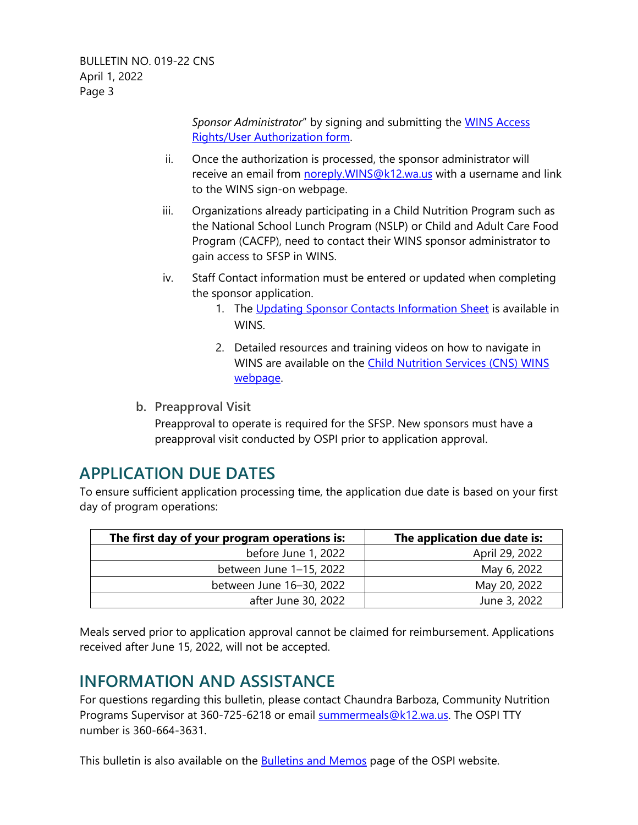*Sponsor Administrator*" by signing and submitting the [WINS Access](https://www.k12.wa.us/sites/default/files/public/childnutrition/winsaccessrightuserauthorization.pdf)  [Rights/User Authorization form.](https://www.k12.wa.us/sites/default/files/public/childnutrition/winsaccessrightuserauthorization.pdf)

- ii. Once the authorization is processed, the sponsor administrator will receive an email from noreply. WINS@k12.wa.us with a username and link to the WINS sign-on webpage.
- iii. Organizations already participating in a Child Nutrition Program such as the National School Lunch Program (NSLP) or Child and Adult Care Food Program (CACFP), need to contact their WINS sponsor administrator to gain access to SFSP in WINS.
- iv. Staff Contact information must be entered or updated when completing the sponsor application.
	- 1. The [Updating Sponsor Contacts Information Sheet](https://www.wa-wins.com/WINS/Views/Utility/Utility.aspx?Source=ShowDocument&Guid=c0cf7af2-afc0-49ad-882a-f4a2acb2f393) is available in WINS.
	- 2. Detailed resources and training videos on how to navigate in WINS are available on the [Child Nutrition Services \(CNS\) WINS](http://www.k12.wa.us/ChildNutrition/WINS.aspx)  [webpage.](http://www.k12.wa.us/ChildNutrition/WINS.aspx)
- **b. Preapproval Visit**

Preapproval to operate is required for the SFSP. New sponsors must have a preapproval visit conducted by OSPI prior to application approval.

### **APPLICATION DUE DATES**

To ensure sufficient application processing time, the application due date is based on your first day of program operations:

| The first day of your program operations is: | The application due date is: |
|----------------------------------------------|------------------------------|
| before June 1, 2022                          | April 29, 2022               |
| between June 1-15, 2022                      | May 6, 2022                  |
| between June 16-30, 2022                     | May 20, 2022                 |
| after June 30, 2022                          | June 3, 2022                 |

Meals served prior to application approval cannot be claimed for reimbursement. Applications received after June 15, 2022, will not be accepted.

# **INFORMATION AND ASSISTANCE**

For questions regarding this bulletin, please contact Chaundra Barboza, Community Nutrition Programs Supervisor at 360-725-6218 or email [summermeals@k12.wa.us.](mailto:mary.nagel@k12.wa.us) The OSPI TTY number is 360-664-3631.

This bulletin is also available on the **Bulletins and Memos** page of the OSPI website.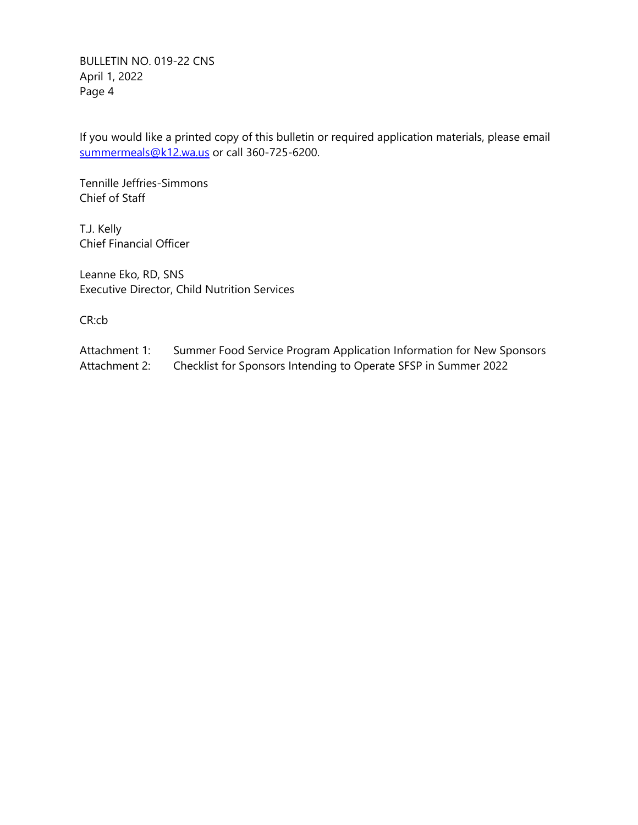BULLETIN NO. 019-22 CNS April 1, 2022 Page 4

If you would like a printed copy of this bulletin or required application materials, please email [summermeals@k12.wa.us](mailto:summermeals@k12.wa.us) or call 360-725-6200.

Tennille Jeffries-Simmons Chief of Staff

T.J. Kelly Chief Financial Officer

Leanne Eko, RD, SNS Executive Director, Child Nutrition Services

CR:cb

- Attachment 1: Summer Food Service Program Application Information for New Sponsors
- Attachment 2: Checklist for Sponsors Intending to Operate SFSP in Summer 2022